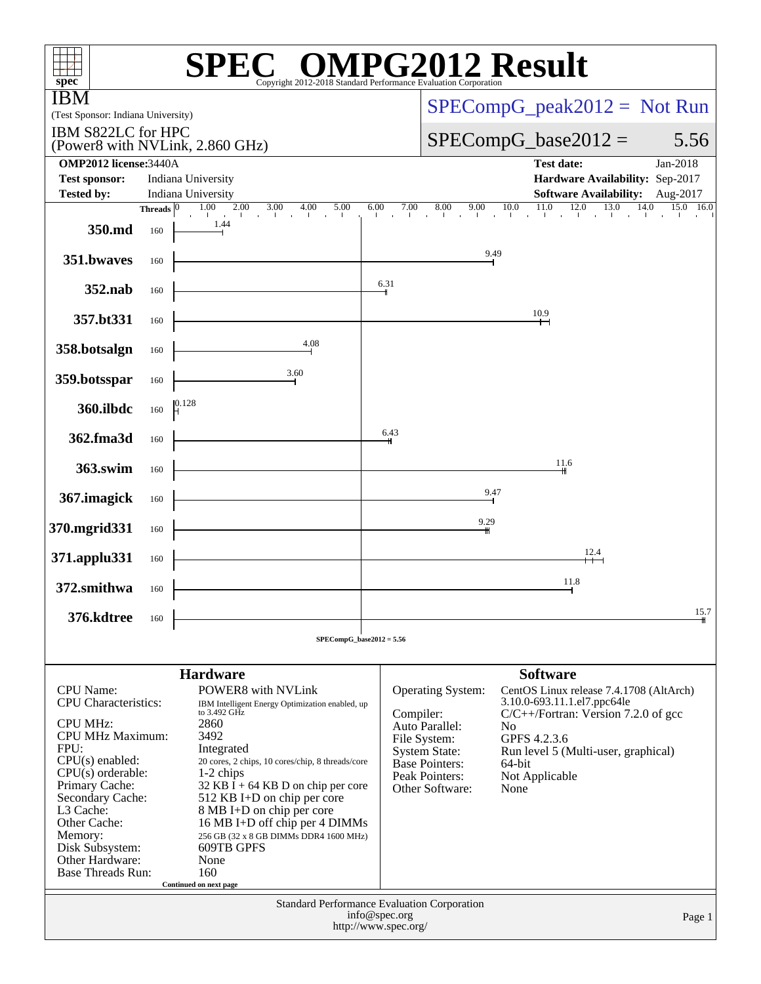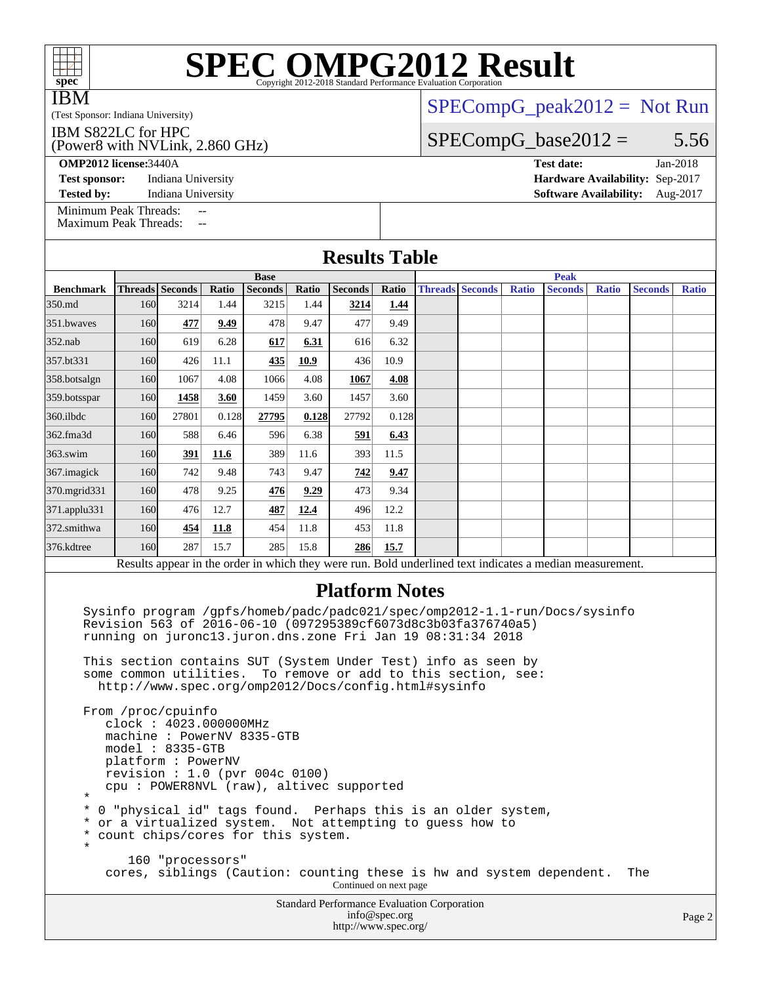| <b>SPEC OMPG2012 Result</b><br>Convright 2012-2018 Standard Performance Evaluation Corporation<br>spec <sup>®</sup>                                                                                                                                                                                                                                                                                                                                                                                                                                                                                   |                 |       |       |                               |       |                                 |       |  |                        |              |                               |              |                |              |
|-------------------------------------------------------------------------------------------------------------------------------------------------------------------------------------------------------------------------------------------------------------------------------------------------------------------------------------------------------------------------------------------------------------------------------------------------------------------------------------------------------------------------------------------------------------------------------------------------------|-----------------|-------|-------|-------------------------------|-------|---------------------------------|-------|--|------------------------|--------------|-------------------------------|--------------|----------------|--------------|
| IBM                                                                                                                                                                                                                                                                                                                                                                                                                                                                                                                                                                                                   |                 |       |       |                               |       | $SPECompG_peak2012 = Not Run$   |       |  |                        |              |                               |              |                |              |
| (Test Sponsor: Indiana University)                                                                                                                                                                                                                                                                                                                                                                                                                                                                                                                                                                    |                 |       |       |                               |       |                                 |       |  |                        |              |                               |              |                |              |
| IBM S822LC for HPC<br>(Power8 with NVLink, 2.860 GHz)                                                                                                                                                                                                                                                                                                                                                                                                                                                                                                                                                 |                 |       |       |                               |       | $SPECompG_base2012 =$<br>5.56   |       |  |                        |              |                               |              |                |              |
| <b>OMP2012 license:3440A</b>                                                                                                                                                                                                                                                                                                                                                                                                                                                                                                                                                                          |                 |       |       |                               |       |                                 |       |  |                        |              | <b>Test date:</b>             |              |                | $Jan-2018$   |
| <b>Test sponsor:</b><br>Indiana University                                                                                                                                                                                                                                                                                                                                                                                                                                                                                                                                                            |                 |       |       |                               |       | Hardware Availability: Sep-2017 |       |  |                        |              |                               |              |                |              |
| Indiana University<br><b>Software Availability:</b><br><b>Tested by:</b><br>Aug-2017<br>Minimum Peak Threads:                                                                                                                                                                                                                                                                                                                                                                                                                                                                                         |                 |       |       |                               |       |                                 |       |  |                        |              |                               |              |                |              |
| <u></u><br><b>Maximum Peak Threads:</b><br>--                                                                                                                                                                                                                                                                                                                                                                                                                                                                                                                                                         |                 |       |       |                               |       |                                 |       |  |                        |              |                               |              |                |              |
| <b>Results Table</b>                                                                                                                                                                                                                                                                                                                                                                                                                                                                                                                                                                                  |                 |       |       |                               |       |                                 |       |  |                        |              |                               |              |                |              |
| <b>Benchmark</b>                                                                                                                                                                                                                                                                                                                                                                                                                                                                                                                                                                                      | Threads Seconds |       | Ratio | <b>Base</b><br><b>Seconds</b> | Ratio | <b>Seconds</b>                  | Ratio |  | <b>Threads Seconds</b> | <b>Ratio</b> | <b>Peak</b><br><b>Seconds</b> | <b>Ratio</b> | <b>Seconds</b> | <b>Ratio</b> |
| 350.md                                                                                                                                                                                                                                                                                                                                                                                                                                                                                                                                                                                                | 160             | 3214  | 1.44  | 3215                          | 1.44  | 3214                            | 1.44  |  |                        |              |                               |              |                |              |
| 351.bwayes                                                                                                                                                                                                                                                                                                                                                                                                                                                                                                                                                                                            | 160             | 477   | 9.49  | 478                           | 9.47  | 477                             | 9.49  |  |                        |              |                               |              |                |              |
| $352$ .nab                                                                                                                                                                                                                                                                                                                                                                                                                                                                                                                                                                                            | 160             | 619   | 6.28  | 617                           | 6.31  | 616                             | 6.32  |  |                        |              |                               |              |                |              |
| 357.bt331                                                                                                                                                                                                                                                                                                                                                                                                                                                                                                                                                                                             | 160             | 426   | 11.1  | 435                           | 10.9  | 436                             | 10.9  |  |                        |              |                               |              |                |              |
| 358.botsalgn                                                                                                                                                                                                                                                                                                                                                                                                                                                                                                                                                                                          | 160             | 1067  | 4.08  | 1066                          | 4.08  | 1067                            | 4.08  |  |                        |              |                               |              |                |              |
| 359.botsspar                                                                                                                                                                                                                                                                                                                                                                                                                                                                                                                                                                                          | 160             | 1458  | 3.60  | 1459                          | 3.60  | 1457                            | 3.60  |  |                        |              |                               |              |                |              |
| 360.ilbdc                                                                                                                                                                                                                                                                                                                                                                                                                                                                                                                                                                                             | 160             | 27801 | 0.128 | 27795                         | 0.128 | 27792                           | 0.128 |  |                        |              |                               |              |                |              |
| 362.fma3d                                                                                                                                                                                                                                                                                                                                                                                                                                                                                                                                                                                             | 160             | 588   | 6.46  | 596                           | 6.38  | 591                             | 6.43  |  |                        |              |                               |              |                |              |
| 363.swim                                                                                                                                                                                                                                                                                                                                                                                                                                                                                                                                                                                              | 160             | 391   | 11.6  | 389                           | 11.6  | 393                             | 11.5  |  |                        |              |                               |              |                |              |
| 367. imagick                                                                                                                                                                                                                                                                                                                                                                                                                                                                                                                                                                                          | 160             | 742   | 9.48  | 743                           | 9.47  | 742                             | 9.47  |  |                        |              |                               |              |                |              |
| 370.mgrid331                                                                                                                                                                                                                                                                                                                                                                                                                                                                                                                                                                                          | 160             | 478   | 9.25  | 476                           | 9.29  | 473                             | 9.34  |  |                        |              |                               |              |                |              |
| 371.applu331                                                                                                                                                                                                                                                                                                                                                                                                                                                                                                                                                                                          | 160             | 476   | 12.7  | 487                           | 12.4  | 496                             | 12.2  |  |                        |              |                               |              |                |              |
| 372.smithwa                                                                                                                                                                                                                                                                                                                                                                                                                                                                                                                                                                                           | 160             | 454   | 11.8  | 454                           | 11.8  | 453                             | 11.8  |  |                        |              |                               |              |                |              |
| 376.kdtree                                                                                                                                                                                                                                                                                                                                                                                                                                                                                                                                                                                            | 160             | 287   | 15.7  | 285                           | 15.8  | 286                             | 15.7  |  |                        |              |                               |              |                |              |
| Results appear in the order in which they were run. Bold underlined text indicates a median measurement.                                                                                                                                                                                                                                                                                                                                                                                                                                                                                              |                 |       |       |                               |       |                                 |       |  |                        |              |                               |              |                |              |
| <b>Platform Notes</b><br>Sysinfo program /gpfs/homeb/padc/padc021/spec/omp2012-1.1-run/Docs/sysinfo<br>Revision 563 of 2016-06-10 (097295389cf6073d8c3b03fa376740a5)<br>running on juronc13.juron.dns.zone Fri Jan 19 08:31:34 2018<br>This section contains SUT (System Under Test) info as seen by<br>some common utilities. To remove or add to this section, see:                                                                                                                                                                                                                                 |                 |       |       |                               |       |                                 |       |  |                        |              |                               |              |                |              |
| http://www.spec.org/omp2012/Docs/config.html#sysinfo<br>From /proc/cpuinfo<br>clock: 4023.000000MHz<br>machine: PowerNV 8335-GTB<br>$model: 8335-GTB$<br>platform: PowerNV<br>revision : 1.0 (pvr 004c 0100)<br>cpu: POWER8NVL (raw), altivec supported<br>$^\star$<br>$^\star$<br>0 "physical id" tags found. Perhaps this is an older system,<br>* or a virtualized system. Not attempting to guess how to<br>count chips/cores for this system.<br>$\ast$<br>$^\star$<br>160 "processors"<br>cores, siblings (Caution: counting these is hw and system dependent.<br>The<br>Continued on next page |                 |       |       |                               |       |                                 |       |  |                        |              |                               |              |                |              |

Standard Performance Evaluation Corporation [info@spec.org](mailto:info@spec.org) <http://www.spec.org/>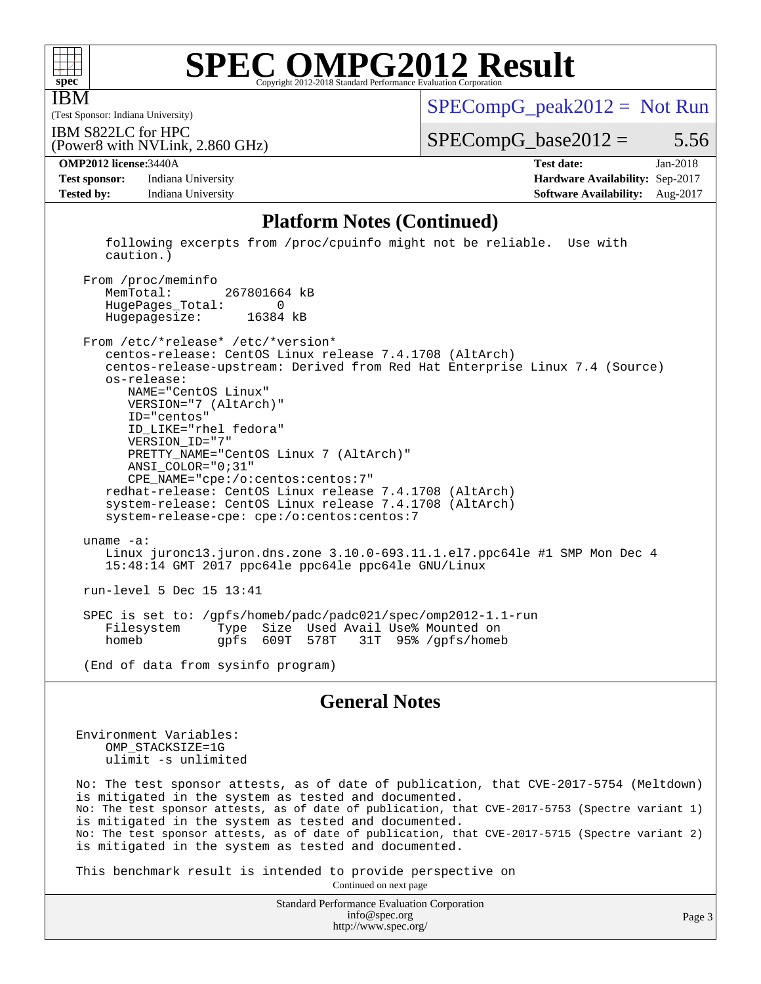

IBM

# **[SPEC OMPG2012 Result](http://www.spec.org/auto/omp2012/Docs/result-fields.html#SPECOMPG2012Result)**

(Test Sponsor: Indiana University)

 $SPECompG_peak2012 = Not Run$  $SPECompG_peak2012 = Not Run$ 

(Power8 with NVLink, 2.860 GHz) IBM S822LC for HPC

 $SPECompG_base2012 = 5.56$  $SPECompG_base2012 = 5.56$ 

**[Test sponsor:](http://www.spec.org/auto/omp2012/Docs/result-fields.html#Testsponsor)** Indiana University **[Hardware Availability:](http://www.spec.org/auto/omp2012/Docs/result-fields.html#HardwareAvailability)** Sep-2017 **[Tested by:](http://www.spec.org/auto/omp2012/Docs/result-fields.html#Testedby)** Indiana University **[Software Availability:](http://www.spec.org/auto/omp2012/Docs/result-fields.html#SoftwareAvailability)** Aug-2017

**[OMP2012 license:](http://www.spec.org/auto/omp2012/Docs/result-fields.html#OMP2012license)**3440A **[Test date:](http://www.spec.org/auto/omp2012/Docs/result-fields.html#Testdate)** Jan-2018

### **[Platform Notes \(Continued\)](http://www.spec.org/auto/omp2012/Docs/result-fields.html#PlatformNotes)**

 following excerpts from /proc/cpuinfo might not be reliable. Use with caution.)

From /proc/meminfo<br>MemTotal: 267801664 kB HugePages\_Total: 0 Hugepagesize: 16384 kB

 From /etc/\*release\* /etc/\*version\* centos-release: CentOS Linux release 7.4.1708 (AltArch) centos-release-upstream: Derived from Red Hat Enterprise Linux 7.4 (Source) os-release: NAME="CentOS Linux" VERSION="7 (AltArch)" ID="centos" ID\_LIKE="rhel fedora" VERSION\_ID="7" PRETTY\_NAME="CentOS Linux 7 (AltArch)" ANSI\_COLOR="0;31" CPE\_NAME="cpe:/o:centos:centos:7" redhat-release: CentOS Linux release 7.4.1708 (AltArch) system-release: CentOS Linux release 7.4.1708 (AltArch) system-release-cpe: cpe:/o:centos:centos:7 uname -a: Linux juronc13.juron.dns.zone 3.10.0-693.11.1.el7.ppc64le #1 SMP Mon Dec 4 15:48:14 GMT 2017 ppc64le ppc64le ppc64le GNU/Linux run-level 5 Dec 15 13:41 SPEC is set to: /gpfs/homeb/padc/padc021/spec/omp2012-1.1-run Type Size Used Avail Use% Mounted on<br>gpfs 609T 578T 31T 95% /gpfs/homel homeb gpfs 609T 578T 31T 95% /gpfs/homeb

(End of data from sysinfo program)

### **[General Notes](http://www.spec.org/auto/omp2012/Docs/result-fields.html#GeneralNotes)**

Environment Variables: OMP\_STACKSIZE=1G ulimit -s unlimited

No: The test sponsor attests, as of date of publication, that CVE-2017-5754 (Meltdown) is mitigated in the system as tested and documented. No: The test sponsor attests, as of date of publication, that CVE-2017-5753 (Spectre variant 1) is mitigated in the system as tested and documented. No: The test sponsor attests, as of date of publication, that CVE-2017-5715 (Spectre variant 2) is mitigated in the system as tested and documented.

This benchmark result is intended to provide perspective on

Continued on next page

Standard Performance Evaluation Corporation [info@spec.org](mailto:info@spec.org) <http://www.spec.org/>

Page 3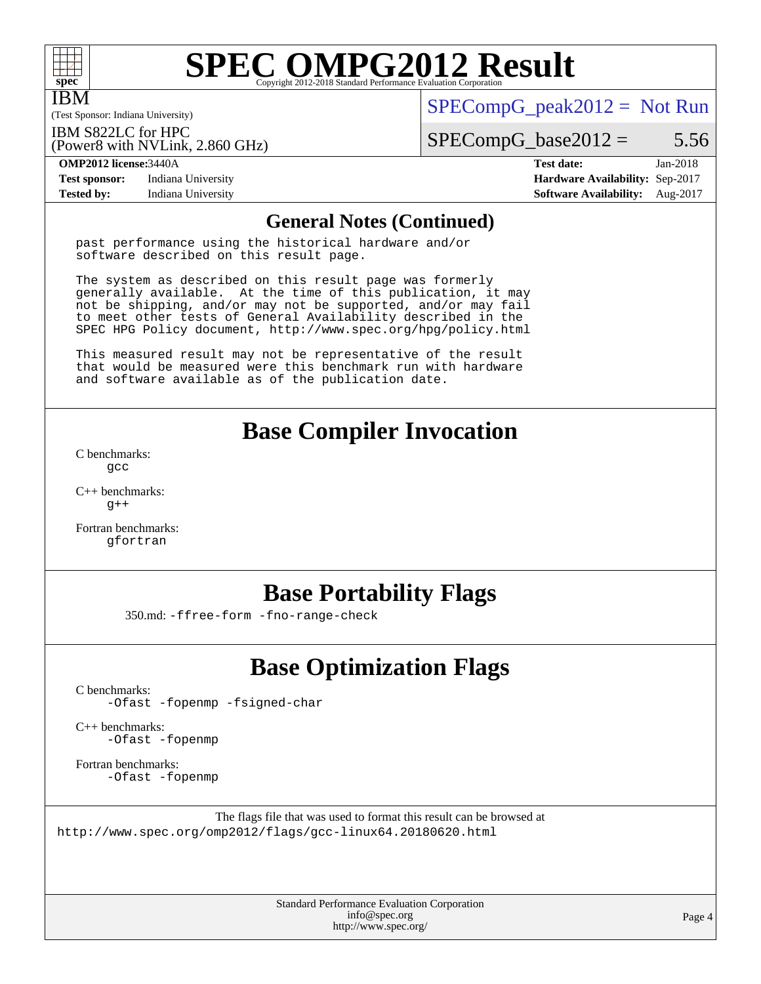

IBM

# **[SPEC OMPG2012 Result](http://www.spec.org/auto/omp2012/Docs/result-fields.html#SPECOMPG2012Result)**

(Test Sponsor: Indiana University)

 $SPECompG_peak2012 = Not Run$  $SPECompG_peak2012 = Not Run$ 

IBM S822LC for HPC

(Power8 with NVLink, 2.860 GHz)

 $SPECompG_base2012 = 5.56$  $SPECompG_base2012 = 5.56$ 

**[Test sponsor:](http://www.spec.org/auto/omp2012/Docs/result-fields.html#Testsponsor)** Indiana University **[Hardware Availability:](http://www.spec.org/auto/omp2012/Docs/result-fields.html#HardwareAvailability)** Sep-2017 **[Tested by:](http://www.spec.org/auto/omp2012/Docs/result-fields.html#Testedby)** Indiana University **[Software Availability:](http://www.spec.org/auto/omp2012/Docs/result-fields.html#SoftwareAvailability)** Aug-2017

**[OMP2012 license:](http://www.spec.org/auto/omp2012/Docs/result-fields.html#OMP2012license)**3440A **[Test date:](http://www.spec.org/auto/omp2012/Docs/result-fields.html#Testdate)** Jan-2018

### **[General Notes \(Continued\)](http://www.spec.org/auto/omp2012/Docs/result-fields.html#GeneralNotes)**

past performance using the historical hardware and/or software described on this result page.

The system as described on this result page was formerly generally available. At the time of this publication, it may not be shipping, and/or may not be supported, and/or may fail to meet other tests of General Availability described in the SPEC HPG Policy document, <http://www.spec.org/hpg/policy.html>

This measured result may not be representative of the result that would be measured were this benchmark run with hardware and software available as of the publication date.

## **[Base Compiler Invocation](http://www.spec.org/auto/omp2012/Docs/result-fields.html#BaseCompilerInvocation)**

[C benchmarks](http://www.spec.org/auto/omp2012/Docs/result-fields.html#Cbenchmarks): [gcc](http://www.spec.org/omp2012/results/res2018q2/omp2012-20180313-00140.flags.html#user_CCbase_gcc_e0d511356bd44120af49cc96c9dcf3b3)

[C++ benchmarks:](http://www.spec.org/auto/omp2012/Docs/result-fields.html#CXXbenchmarks)  $q++$ 

[Fortran benchmarks](http://www.spec.org/auto/omp2012/Docs/result-fields.html#Fortranbenchmarks): [gfortran](http://www.spec.org/omp2012/results/res2018q2/omp2012-20180313-00140.flags.html#user_FCbase_gfortran_a303edaa4a81c8aab35b1bda5c9ef7ba)

## **[Base Portability Flags](http://www.spec.org/auto/omp2012/Docs/result-fields.html#BasePortabilityFlags)**

350.md: [-ffree-form](http://www.spec.org/omp2012/results/res2018q2/omp2012-20180313-00140.flags.html#user_baseFPORTABILITY350_md_f-ffree-form) [-fno-range-check](http://www.spec.org/omp2012/results/res2018q2/omp2012-20180313-00140.flags.html#user_baseFPORTABILITY350_md_f-fno-range-check)

# **[Base Optimization Flags](http://www.spec.org/auto/omp2012/Docs/result-fields.html#BaseOptimizationFlags)**

[C benchmarks](http://www.spec.org/auto/omp2012/Docs/result-fields.html#Cbenchmarks):

[-Ofast](http://www.spec.org/omp2012/results/res2018q2/omp2012-20180313-00140.flags.html#user_CCbase_f-Ofast) [-fopenmp](http://www.spec.org/omp2012/results/res2018q2/omp2012-20180313-00140.flags.html#user_CCbase_f-fopenmp) [-fsigned-char](http://www.spec.org/omp2012/results/res2018q2/omp2012-20180313-00140.flags.html#user_CCbase_f-signed-char_ea072296ce3abda7ab095741e7c36064)

[C++ benchmarks:](http://www.spec.org/auto/omp2012/Docs/result-fields.html#CXXbenchmarks) [-Ofast](http://www.spec.org/omp2012/results/res2018q2/omp2012-20180313-00140.flags.html#user_CXXbase_f-Ofast) [-fopenmp](http://www.spec.org/omp2012/results/res2018q2/omp2012-20180313-00140.flags.html#user_CXXbase_f-fopenmp)

[Fortran benchmarks](http://www.spec.org/auto/omp2012/Docs/result-fields.html#Fortranbenchmarks): [-Ofast](http://www.spec.org/omp2012/results/res2018q2/omp2012-20180313-00140.flags.html#user_FCbase_f-Ofast) [-fopenmp](http://www.spec.org/omp2012/results/res2018q2/omp2012-20180313-00140.flags.html#user_FCbase_f-fopenmp)

The flags file that was used to format this result can be browsed at <http://www.spec.org/omp2012/flags/gcc-linux64.20180620.html>

> Standard Performance Evaluation Corporation [info@spec.org](mailto:info@spec.org) <http://www.spec.org/>